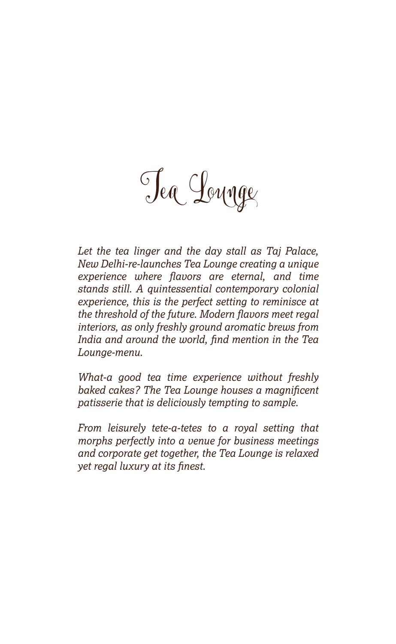Tea Lounge

*Let the tea linger and the day stall as Taj Palace, New Delhi-re-launches Tea Lounge creating a unique experience where flavors are eternal, and time stands still. A quintessential contemporary colonial experience, this is the perfect setting to reminisce at the threshold of the future. Modern flavors meet regal interiors, as only freshly ground aromatic brews from India and around the world, find mention in the Tea Lounge-menu.* 

*What-a good tea time experience without freshly baked cakes? The Tea Lounge houses a magnificent patisserie that is deliciously tempting to sample.*

*From leisurely tete-a-tetes to a royal setting that morphs perfectly into a venue for business meetings and corporate get together, the Tea Lounge is relaxed yet regal luxury at its finest.*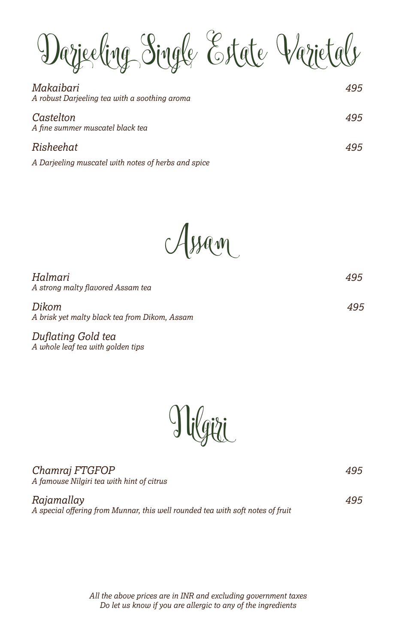Darjeeling Single Estate Varietals

| Makaibari<br>A robust Darjeeling tea with a soothing aroma | 495 |
|------------------------------------------------------------|-----|
| Castelton<br>A fine summer muscatel black tea              | 495 |
| Risheehat                                                  | 495 |
| A Darjeeling muscatel with notes of herbs and spice        |     |

Assam

*Halmari 495 A strong malty flavored Assam tea*

*Dikom 495 A brisk yet malty black tea from Dikom, Assam*

*Duflating Gold tea A whole leaf tea with golden tips*



| Chamraj FTGFOP<br>A famouse Nilgiri tea with hint of citrus                                  | 495 |
|----------------------------------------------------------------------------------------------|-----|
| Rajamallay<br>A special offering from Munnar, this well rounded tea with soft notes of fruit | 495 |

*All the above prices are in INR and excluding government taxes Do let us know if you are allergic to any of the ingredients*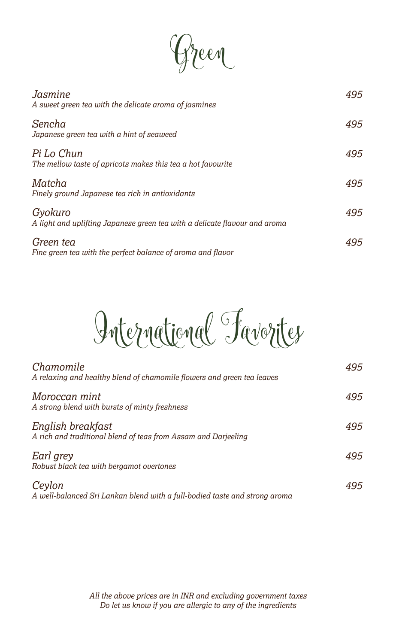$\ell \mathcal{A}$ 

| Jasmine<br>A sweet green tea with the delicate aroma of jasmines                      | 495 |
|---------------------------------------------------------------------------------------|-----|
| Sencha<br>Japanese green tea with a hint of seaweed                                   | 495 |
| Pi Lo Chun<br>The mellow taste of apricots makes this tea a hot favourite             | 495 |
| Matcha<br>Finely ground Japanese tea rich in antioxidants                             | 495 |
| Gyokuro<br>A light and uplifting Japanese green tea with a delicate flavour and aroma | 495 |
| Green tea<br>Fine green tea with the perfect balance of aroma and flavor              | 495 |

International Favorites

| Chamomile<br>A relaxing and healthy blend of chamomile flowers and green tea leaves  | 495 |
|--------------------------------------------------------------------------------------|-----|
| Moroccan mint<br>A strong blend with bursts of minty freshness                       | 495 |
| English breakfast<br>A rich and traditional blend of teas from Assam and Darjeeling  | 495 |
| Earl grey<br>Robust black tea with bergamot overtones                                | 495 |
| Ceylon<br>A well-balanced Sri Lankan blend with a full-bodied taste and strong aroma | 495 |

*All the above prices are in INR and excluding government taxes Do let us know if you are allergic to any of the ingredients*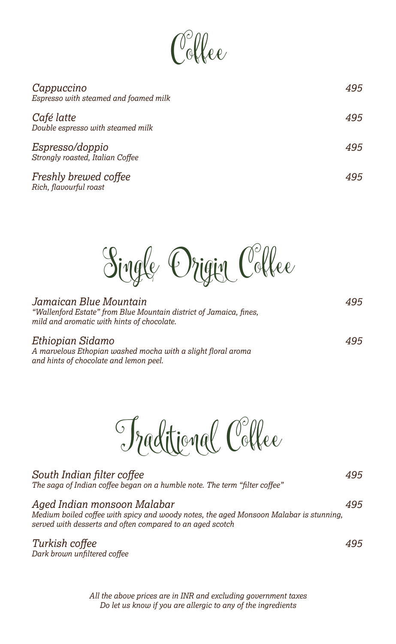$\int_0^\infty$ llee

| Cappuccino<br>Espresso with steamed and foamed milk | 495 |
|-----------------------------------------------------|-----|
| Café latte<br>Double espresso with steamed milk     | 495 |
| Espresso/doppio<br>Strongly roasted, Italian Coffee | 495 |
| Freshly brewed coffee                               | 495 |

Single Origin Coffee

| Jamaican Blue Mountain                                                                                           | 495 |
|------------------------------------------------------------------------------------------------------------------|-----|
| "Wallenford Estate" from Blue Mountain district of Jamaica, fines,<br>mild and aromatic with hints of chocolate. |     |
|                                                                                                                  |     |

## *Ethiopian Sidamo 495*

*Rich, flavourful roast*

*A marvelous Ethopian washed mocha with a slight floral aroma and hints of chocolate and lemon peel.*

Traditional Coffee

| South Indian filter coffee<br>The saga of Indian coffee began on a humble note. The term "filter coffee"                                                                           | 495 |
|------------------------------------------------------------------------------------------------------------------------------------------------------------------------------------|-----|
| Aged Indian monsoon Malabar<br>Medium boiled coffee with spicy and woody notes, the aged Monsoon Malabar is stunning,<br>served with desserts and often compared to an aged scotch | 495 |
| Turkish coffee                                                                                                                                                                     |     |

*Dark brown unfiltered coffee*

*All the above prices are in INR and excluding government taxes Do let us know if you are allergic to any of the ingredients*